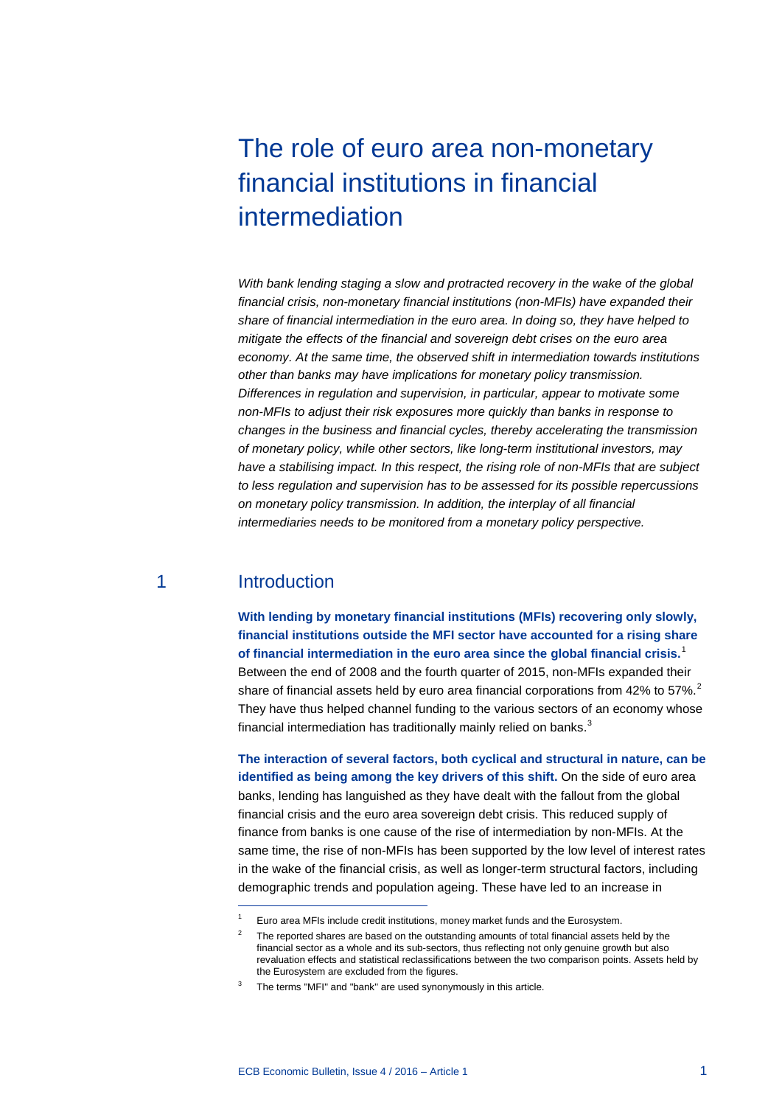# The role of euro area non-monetary financial institutions in financial intermediation

*With bank lending staging a slow and protracted recovery in the wake of the global financial crisis, non-monetary financial institutions (non-MFIs) have expanded their share of financial intermediation in the euro area. In doing so, they have helped to mitigate the effects of the financial and sovereign debt crises on the euro area economy. At the same time, the observed shift in intermediation towards institutions other than banks may have implications for monetary policy transmission. Differences in regulation and supervision, in particular, appear to motivate some non-MFIs to adjust their risk exposures more quickly than banks in response to changes in the business and financial cycles, thereby accelerating the transmission of monetary policy, while other sectors, like long-term institutional investors, may have a stabilising impact. In this respect, the rising role of non-MFIs that are subject to less regulation and supervision has to be assessed for its possible repercussions on monetary policy transmission. In addition, the interplay of all financial intermediaries needs to be monitored from a monetary policy perspective.*

### 1 Introduction

-

**With lending by monetary financial institutions (MFIs) recovering only slowly, financial institutions outside the MFI sector have accounted for a rising share of financial intermediation in the euro area since the global financial crisis.**[1](#page-0-0) Between the end of 2008 and the fourth quarter of 2015, non-MFIs expanded their share of financial assets held by euro area financial corporations from 4[2](#page-0-1)% to 57%. $^2$ They have thus helped channel funding to the various sectors of an economy whose financial intermediation has traditionally mainly relied on banks.<sup>[3](#page-0-2)</sup>

**The interaction of several factors, both cyclical and structural in nature, can be identified as being among the key drivers of this shift.** On the side of euro area banks, lending has languished as they have dealt with the fallout from the global financial crisis and the euro area sovereign debt crisis. This reduced supply of finance from banks is one cause of the rise of intermediation by non-MFIs. At the same time, the rise of non-MFIs has been supported by the low level of interest rates in the wake of the financial crisis, as well as longer-term structural factors, including demographic trends and population ageing. These have led to an increase in

<span id="page-0-1"></span><span id="page-0-0"></span><sup>1</sup> Euro area MFIs include credit institutions, money market funds and the Eurosystem.

The reported shares are based on the outstanding amounts of total financial assets held by the financial sector as a whole and its sub-sectors, thus reflecting not only genuine growth but also revaluation effects and statistical reclassifications between the two comparison points. Assets held by the Eurosystem are excluded from the figures.

<span id="page-0-2"></span><sup>&</sup>lt;sup>3</sup> The terms "MFI" and "bank" are used synonymously in this article.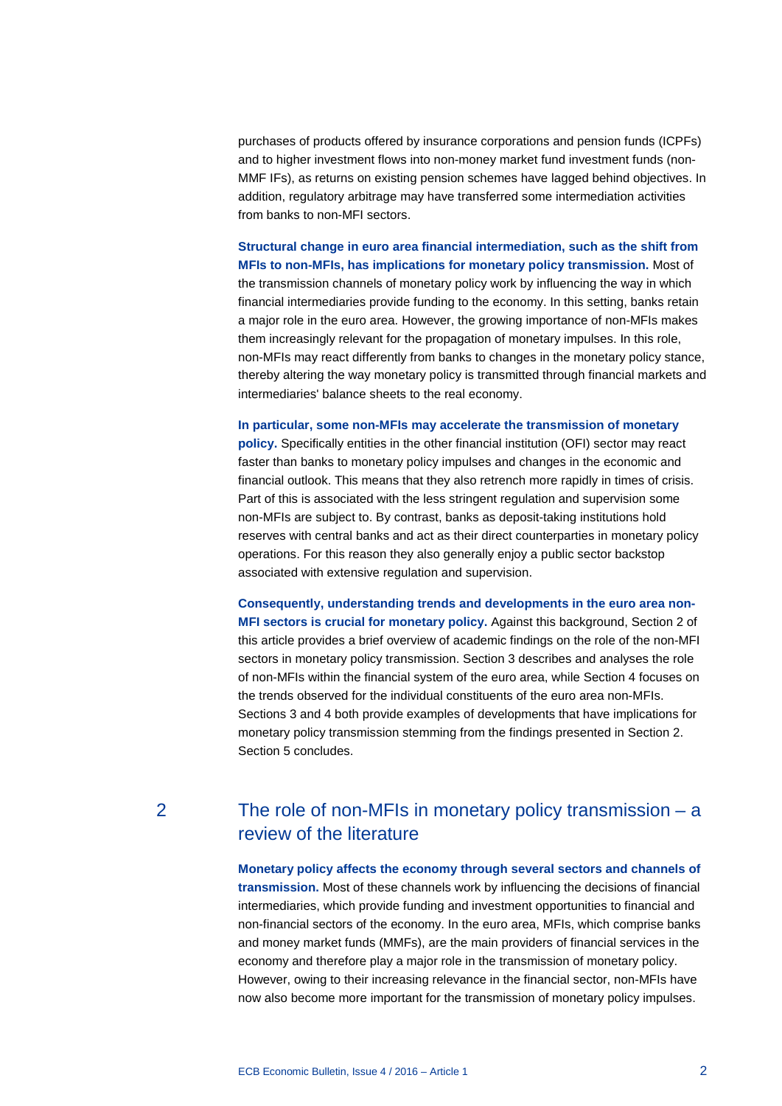purchases of products offered by insurance corporations and pension funds (ICPFs) and to higher investment flows into non-money market fund investment funds (non-MMF IFs), as returns on existing pension schemes have lagged behind objectives. In addition, regulatory arbitrage may have transferred some intermediation activities from banks to non-MFI sectors.

**Structural change in euro area financial intermediation, such as the shift from MFIs to non-MFIs, has implications for monetary policy transmission.** Most of the transmission channels of monetary policy work by influencing the way in which financial intermediaries provide funding to the economy. In this setting, banks retain a major role in the euro area. However, the growing importance of non-MFIs makes them increasingly relevant for the propagation of monetary impulses. In this role, non-MFIs may react differently from banks to changes in the monetary policy stance, thereby altering the way monetary policy is transmitted through financial markets and intermediaries' balance sheets to the real economy.

**In particular, some non-MFIs may accelerate the transmission of monetary policy.** Specifically entities in the other financial institution (OFI) sector may react

faster than banks to monetary policy impulses and changes in the economic and financial outlook. This means that they also retrench more rapidly in times of crisis. Part of this is associated with the less stringent regulation and supervision some non-MFIs are subject to. By contrast, banks as deposit-taking institutions hold reserves with central banks and act as their direct counterparties in monetary policy operations. For this reason they also generally enjoy a public sector backstop associated with extensive regulation and supervision.

**Consequently, understanding trends and developments in the euro area non-MFI sectors is crucial for monetary policy.** Against this background, Section 2 of this article provides a brief overview of academic findings on the role of the non-MFI sectors in monetary policy transmission. Section 3 describes and analyses the role of non-MFIs within the financial system of the euro area, while Section 4 focuses on the trends observed for the individual constituents of the euro area non-MFIs. Sections 3 and 4 both provide examples of developments that have implications for monetary policy transmission stemming from the findings presented in Section 2. Section 5 concludes.

### 2 The role of non-MFIs in monetary policy transmission – a review of the literature

**Monetary policy affects the economy through several sectors and channels of transmission.** Most of these channels work by influencing the decisions of financial intermediaries, which provide funding and investment opportunities to financial and non-financial sectors of the economy. In the euro area, MFIs, which comprise banks and money market funds (MMFs), are the main providers of financial services in the economy and therefore play a major role in the transmission of monetary policy. However, owing to their increasing relevance in the financial sector, non-MFIs have now also become more important for the transmission of monetary policy impulses.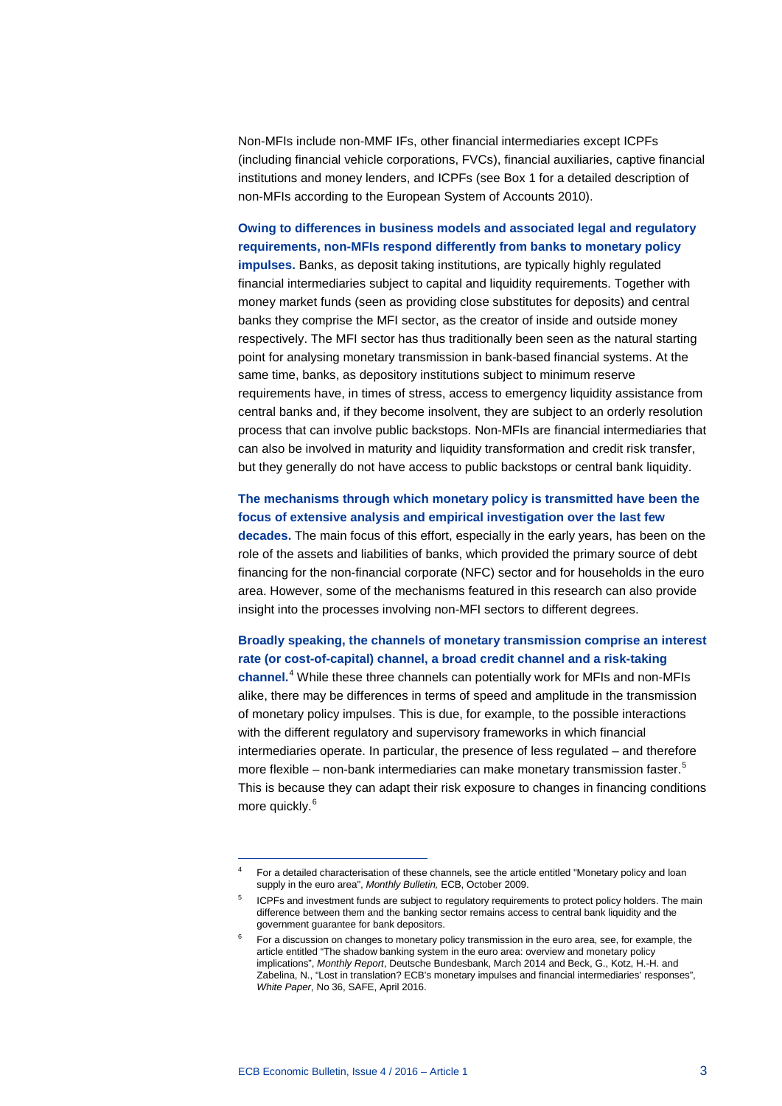Non-MFIs include non-MMF IFs, other financial intermediaries except ICPFs (including financial vehicle corporations, FVCs), financial auxiliaries, captive financial institutions and money lenders, and ICPFs (see Box 1 for a detailed description of non-MFIs according to the European System of Accounts 2010).

**Owing to differences in business models and associated legal and regulatory requirements, non-MFIs respond differently from banks to monetary policy impulses.** Banks, as deposit taking institutions, are typically highly regulated financial intermediaries subject to capital and liquidity requirements. Together with money market funds (seen as providing close substitutes for deposits) and central banks they comprise the MFI sector, as the creator of inside and outside money respectively. The MFI sector has thus traditionally been seen as the natural starting point for analysing monetary transmission in bank-based financial systems. At the same time, banks, as depository institutions subject to minimum reserve requirements have, in times of stress, access to emergency liquidity assistance from central banks and, if they become insolvent, they are subject to an orderly resolution process that can involve public backstops. Non-MFIs are financial intermediaries that can also be involved in maturity and liquidity transformation and credit risk transfer, but they generally do not have access to public backstops or central bank liquidity.

### **The mechanisms through which monetary policy is transmitted have been the focus of extensive analysis and empirical investigation over the last few**

**decades.** The main focus of this effort, especially in the early years, has been on the role of the assets and liabilities of banks, which provided the primary source of debt financing for the non-financial corporate (NFC) sector and for households in the euro area. However, some of the mechanisms featured in this research can also provide insight into the processes involving non-MFI sectors to different degrees.

### **Broadly speaking, the channels of monetary transmission comprise an interest rate (or cost-of-capital) channel, a broad credit channel and a risk-taking**

**channel.**[4](#page-2-0) While these three channels can potentially work for MFIs and non-MFIs alike, there may be differences in terms of speed and amplitude in the transmission of monetary policy impulses. This is due, for example, to the possible interactions with the different regulatory and supervisory frameworks in which financial intermediaries operate. In particular, the presence of less regulated – and therefore more flexible – non-bank intermediaries can make monetary transmission faster.<sup>[5](#page-2-1)</sup> This is because they can adapt their risk exposure to changes in financing conditions more quickly. [6](#page-2-2)

<sup>4</sup> For a detailed characterisation of these channels, see the article entitled "Monetary policy and loan supply in the euro area", *Monthly Bulletin,* ECB, October 2009.

<span id="page-2-1"></span><span id="page-2-0"></span>ICPFs and investment funds are subject to regulatory requirements to protect policy holders. The main difference between them and the banking sector remains access to central bank liquidity and the government guarantee for bank depositors.

<span id="page-2-2"></span>For a discussion on changes to monetary policy transmission in the euro area, see, for example, the article entitled "The shadow banking system in the euro area: overview and monetary policy implications", *Monthly Report*, Deutsche Bundesbank, March 2014 and Beck, G., Kotz, H.-H. and Zabelina, N., "Lost in translation? ECB's monetary impulses and financial intermediaries' responses", *White Paper*, No 36, SAFE, April 2016.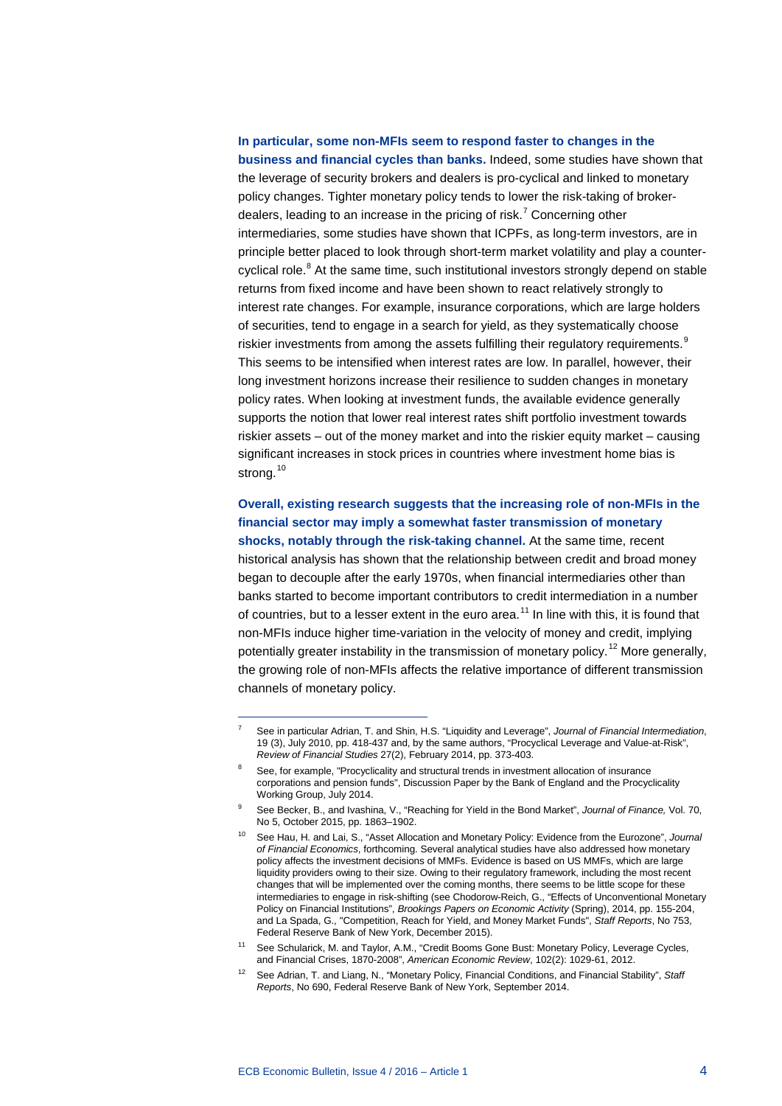#### **In particular, some non-MFIs seem to respond faster to changes in the**

**business and financial cycles than banks.** Indeed, some studies have shown that the leverage of security brokers and dealers is pro-cyclical and linked to monetary policy changes. Tighter monetary policy tends to lower the risk-taking of broker-dealers, leading to an increase in the pricing of risk.<sup>[7](#page-3-0)</sup> Concerning other intermediaries, some studies have shown that ICPFs, as long-term investors, are in principle better placed to look through short-term market volatility and play a counter-cyclical role.<sup>[8](#page-3-1)</sup> At the same time, such institutional investors strongly depend on stable returns from fixed income and have been shown to react relatively strongly to interest rate changes. For example, insurance corporations, which are large holders of securities, tend to engage in a search for yield, as they systematically choose riskier investments from among the assets fulfilling their regulatory requirements.<sup>[9](#page-3-2)</sup> This seems to be intensified when interest rates are low. In parallel, however, their long investment horizons increase their resilience to sudden changes in monetary policy rates. When looking at investment funds, the available evidence generally supports the notion that lower real interest rates shift portfolio investment towards riskier assets – out of the money market and into the riskier equity market – causing significant increases in stock prices in countries where investment home bias is strong.<sup>[10](#page-3-3)</sup>

**Overall, existing research suggests that the increasing role of non-MFIs in the financial sector may imply a somewhat faster transmission of monetary shocks, notably through the risk-taking channel.** At the same time, recent historical analysis has shown that the relationship between credit and broad money began to decouple after the early 1970s, when financial intermediaries other than banks started to become important contributors to credit intermediation in a number of countries, but to a lesser extent in the euro area.<sup>[11](#page-3-4)</sup> In line with this, it is found that non-MFIs induce higher time-variation in the velocity of money and credit, implying potentially greater instability in the transmission of monetary policy.<sup>[12](#page-3-5)</sup> More generally, the growing role of non-MFIs affects the relative importance of different transmission channels of monetary policy.

<sup>7</sup> See in particular Adrian, T. and Shin, H.S. "Liquidity and Leverage", *Journal of Financial Intermediation*, 19 (3), July 2010, pp. 418-437 and, by the same authors, "Procyclical Leverage and Value-at-Risk", *Review of Financial Studies* 27(2), February 2014, pp. 373-403.

<span id="page-3-1"></span><span id="page-3-0"></span>See, for example, "Procyclicality and structural trends in investment allocation of insurance corporations and pension funds", Discussion Paper by the Bank of England and the Procyclicality Working Group, July 2014.

<span id="page-3-2"></span><sup>9</sup> See Becker, B., and Ivashina, V., "Reaching for Yield in the Bond Market", *Journal of Finance,* Vol. 70, No 5, October 2015, pp. 1863–1902.

<span id="page-3-3"></span><sup>10</sup> See Hau, H. and Lai, S., "Asset Allocation and Monetary Policy: Evidence from the Eurozone", *Journal of Financial Economics*, forthcoming. Several analytical studies have also addressed how monetary policy affects the investment decisions of MMFs. Evidence is based on US MMFs, which are large liquidity providers owing to their size. Owing to their regulatory framework, including the most recent changes that will be implemented over the coming months, there seems to be little scope for these intermediaries to engage in risk-shifting (see Chodorow-Reich, G., "Effects of Unconventional Monetary Policy on Financial Institutions", *Brookings Papers on Economic Activity* (Spring), 2014, pp. 155-204, and La Spada, G., "Competition, Reach for Yield, and Money Market Funds", *Staff Reports*, No 753, Federal Reserve Bank of New York, December 2015).

<span id="page-3-4"></span><sup>&</sup>lt;sup>11</sup> See Schularick, M. and Taylor, A.M., "Credit Booms Gone Bust: Monetary Policy, Leverage Cycles, and Financial Crises, 1870-2008", *American Economic Review*, 102(2): 1029-61, 2012.

<span id="page-3-5"></span><sup>12</sup> See Adrian, T. and Liang, N., "Monetary Policy, Financial Conditions, and Financial Stability", *Staff Reports*, No 690, Federal Reserve Bank of New York, September 2014.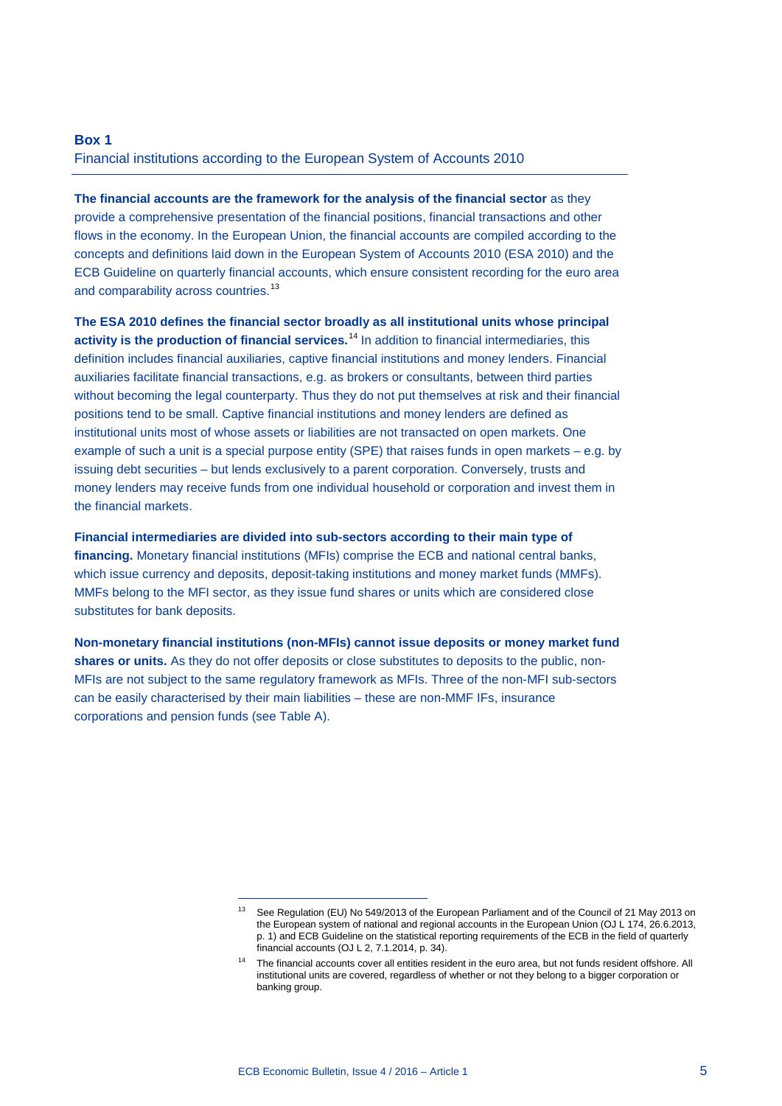### **Box 1** Financial institutions according to the European System of Accounts 2010

**The financial accounts are the framework for the analysis of the financial sector** as they provide a comprehensive presentation of the financial positions, financial transactions and other flows in the economy. In the European Union, the financial accounts are compiled according to the concepts and definitions laid down in the European System of Accounts 2010 (ESA 2010) and the ECB Guideline on quarterly financial accounts, which ensure consistent recording for the euro area and comparability across countries.<sup>[13](#page-4-0)</sup>

**The ESA 2010 defines the financial sector broadly as all institutional units whose principal activity is the production of financial services.** [14](#page-4-1) In addition to financial intermediaries, this definition includes financial auxiliaries, captive financial institutions and money lenders. Financial auxiliaries facilitate financial transactions, e.g. as brokers or consultants, between third parties without becoming the legal counterparty. Thus they do not put themselves at risk and their financial positions tend to be small. Captive financial institutions and money lenders are defined as institutional units most of whose assets or liabilities are not transacted on open markets. One example of such a unit is a special purpose entity (SPE) that raises funds in open markets – e.g. by issuing debt securities – but lends exclusively to a parent corporation. Conversely, trusts and money lenders may receive funds from one individual household or corporation and invest them in the financial markets.

**Financial intermediaries are divided into sub-sectors according to their main type of financing.** Monetary financial institutions (MFIs) comprise the ECB and national central banks, which issue currency and deposits, deposit-taking institutions and money market funds (MMFs). MMFs belong to the MFI sector, as they issue fund shares or units which are considered close substitutes for bank deposits.

**Non-monetary financial institutions (non-MFIs) cannot issue deposits or money market fund**  shares or units. As they do not offer deposits or close substitutes to deposits to the public, non-MFIs are not subject to the same regulatory framework as MFIs. Three of the non-MFI sub-sectors can be easily characterised by their main liabilities – these are non-MMF IFs, insurance corporations and pension funds (see Table A).

<span id="page-4-0"></span><sup>&</sup>lt;sup>13</sup> See Regulation (EU) No 549/2013 of the European Parliament and of the Council of 21 May 2013 on the European system of national and regional accounts in the European Union (OJ L 174, 26.6.2013, p. 1) and ECB Guideline on the statistical reporting requirements of the ECB in the field of quarterly financial accounts (OJ L 2, 7.1.2014, p. 34).

<span id="page-4-1"></span><sup>&</sup>lt;sup>14</sup> The financial accounts cover all entities resident in the euro area, but not funds resident offshore. All institutional units are covered, regardless of whether or not they belong to a bigger corporation or banking group.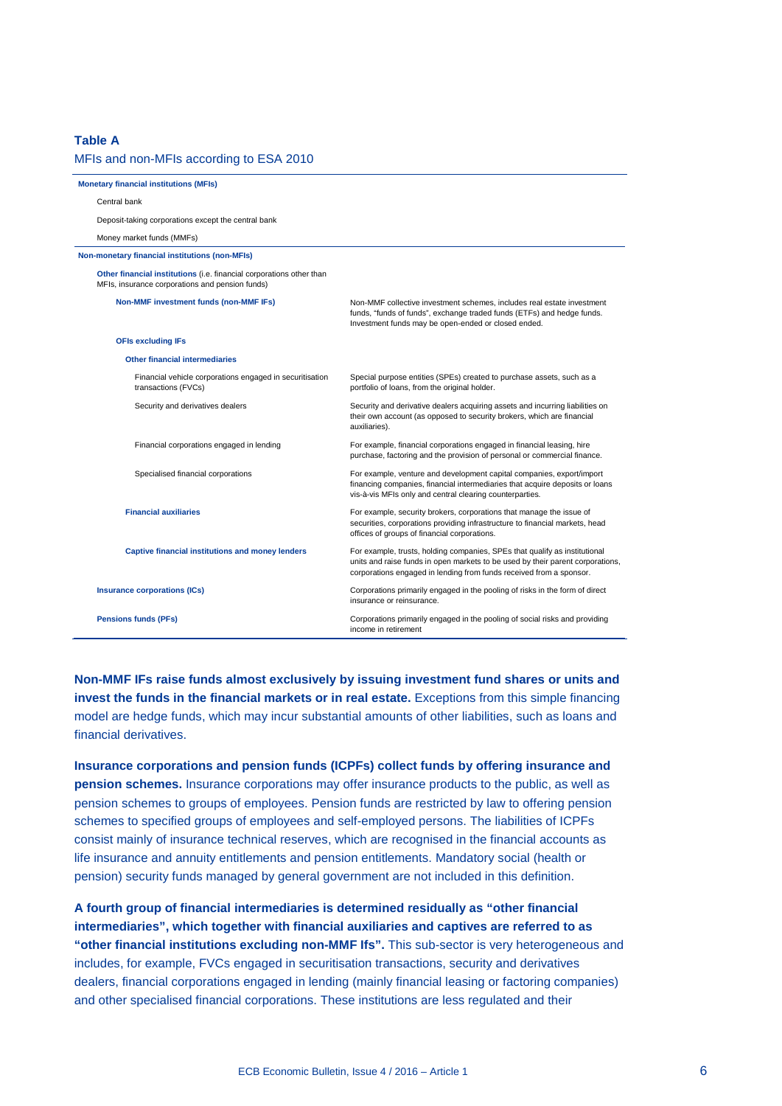#### **Table A**

#### MFIs and non-MFIs according to ESA 2010 **Monetary financial institutions (MFIs)** Central bank Deposit-taking corporations except the central bank Money market funds (MMFs) **Non-monetary financial institutions (non-MFIs) Other financial institutions** (i.e. financial corporations other than MFIs, insurance corporations and pension funds) **Non-MMF investment funds (non-MMF IFs)** Non-MMF collective investment schemes, includes real estate investment funds, "funds of funds", exchange traded funds (ETFs) and hedge funds. Investment funds may be open-ended or closed ended. **OFIs excluding IFs Other financial intermediaries** Financial vehicle corporations engaged in securitisation transactions (FVCs) Special purpose entities (SPEs) created to purchase assets, such as a portfolio of loans, from the original holder. Security and derivatives dealers Security and derivative dealers acquiring assets and incurring liabilities on their own account (as opposed to security brokers, which are financial auxiliaries). Financial corporations engaged in lending For example, financial corporations engaged in financial leasing, hire purchase, factoring and the provision of personal or commercial finance. Specialised financial corporations For example, venture and development capital companies, export/import financing companies, financial intermediaries that acquire deposits or loans vis-à-vis MFIs only and central clearing counterparties. **Financial auxiliaries** For example, security brokers, corporations that manage the issue of securities, corporations providing infrastructure to financial markets, head offices of groups of financial corporations. **Captive financial institutions and money lenders** For example, trusts, holding companies, SPEs that qualify as institutional units and raise funds in open markets to be used by their parent corporations, corporations engaged in lending from funds received from a sponsor. **Insurance corporations (ICs)** Corporations primarily engaged in the pooling of risks in the form of direct insurance or reinsurance. **Pensions funds (PFs)** Corporations primarily engaged in the pooling of social risks and providing income in retirement

**Non-MMF IFs raise funds almost exclusively by issuing investment fund shares or units and invest the funds in the financial markets or in real estate.** Exceptions from this simple financing model are hedge funds, which may incur substantial amounts of other liabilities, such as loans and financial derivatives.

**Insurance corporations and pension funds (ICPFs) collect funds by offering insurance and pension schemes.** Insurance corporations may offer insurance products to the public, as well as pension schemes to groups of employees. Pension funds are restricted by law to offering pension schemes to specified groups of employees and self-employed persons. The liabilities of ICPFs consist mainly of insurance technical reserves, which are recognised in the financial accounts as life insurance and annuity entitlements and pension entitlements. Mandatory social (health or pension) security funds managed by general government are not included in this definition.

**A fourth group of financial intermediaries is determined residually as "other financial intermediaries", which together with financial auxiliaries and captives are referred to as "other financial institutions excluding non-MMF Ifs".** This sub-sector is very heterogeneous and includes, for example, FVCs engaged in securitisation transactions, security and derivatives dealers, financial corporations engaged in lending (mainly financial leasing or factoring companies) and other specialised financial corporations. These institutions are less regulated and their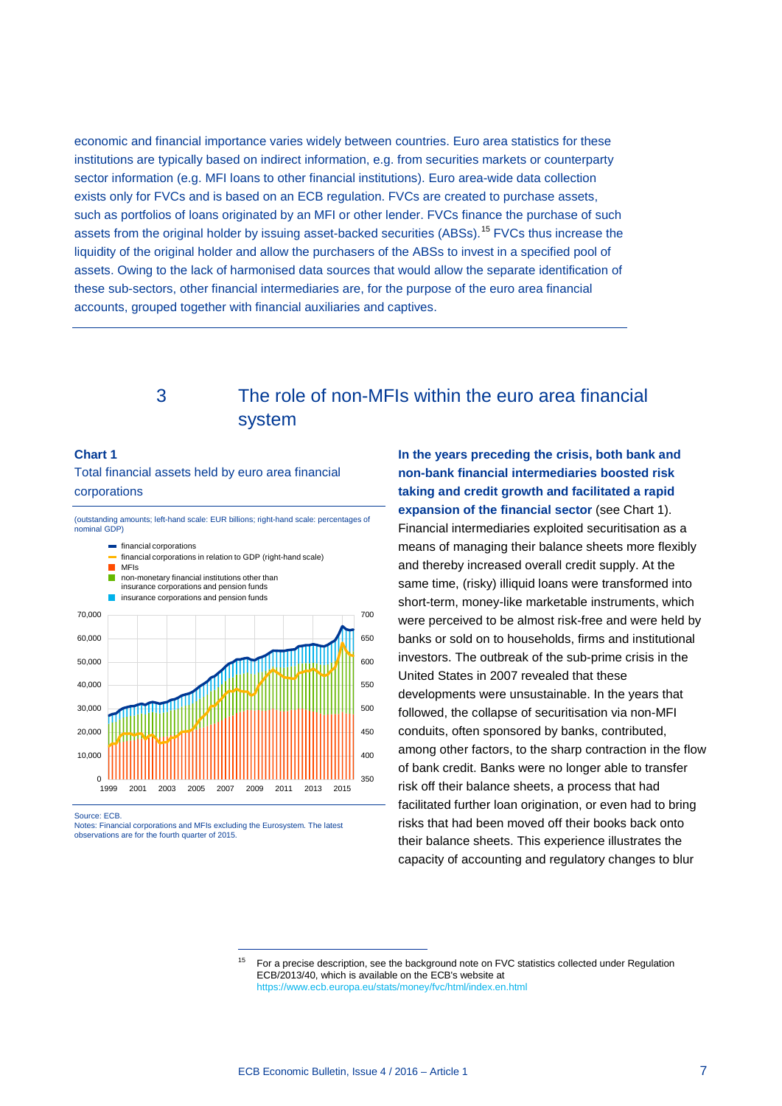economic and financial importance varies widely between countries. Euro area statistics for these institutions are typically based on indirect information, e.g. from securities markets or counterparty sector information (e.g. MFI loans to other financial institutions). Euro area-wide data collection exists only for FVCs and is based on an ECB regulation. FVCs are created to purchase assets, such as portfolios of loans originated by an MFI or other lender. FVCs finance the purchase of such assets from the original holder by issuing asset-backed securities (ABSs).<sup>[15](#page-6-0)</sup> FVCs thus increase the liquidity of the original holder and allow the purchasers of the ABSs to invest in a specified pool of assets. Owing to the lack of harmonised data sources that would allow the separate identification of these sub-sectors, other financial intermediaries are, for the purpose of the euro area financial accounts, grouped together with financial auxiliaries and captives.

## 3 The role of non-MFIs within the euro area financial system

#### **Chart 1**

Total financial assets held by euro area financial corporations

(outstanding amounts; left-hand scale: EUR billions; right-hand scale: percentages of nominal GDP)



Source: ECB.

<span id="page-6-0"></span>Notes: Financial corporations and MFIs excluding the Eurosystem. The latest observations are for the fourth quarter of 2015.

-

**In the years preceding the crisis, both bank and non-bank financial intermediaries boosted risk taking and credit growth and facilitated a rapid expansion of the financial sector** (see Chart 1). Financial intermediaries exploited securitisation as a means of managing their balance sheets more flexibly and thereby increased overall credit supply. At the same time, (risky) illiquid loans were transformed into short-term, money-like marketable instruments, which were perceived to be almost risk-free and were held by banks or sold on to households, firms and institutional investors. The outbreak of the sub-prime crisis in the United States in 2007 revealed that these developments were unsustainable. In the years that followed, the collapse of securitisation via non-MFI conduits, often sponsored by banks, contributed, among other factors, to the sharp contraction in the flow of bank credit. Banks were no longer able to transfer risk off their balance sheets, a process that had facilitated further loan origination, or even had to bring risks that had been moved off their books back onto their balance sheets. This experience illustrates the capacity of accounting and regulatory changes to blur

<sup>&</sup>lt;sup>15</sup> For a precise description, see the background note on FVC statistics collected under Regulation ECB/2013/40, which is available on the ECB's website at <https://www.ecb.europa.eu/stats/money/fvc/html/index.en.html>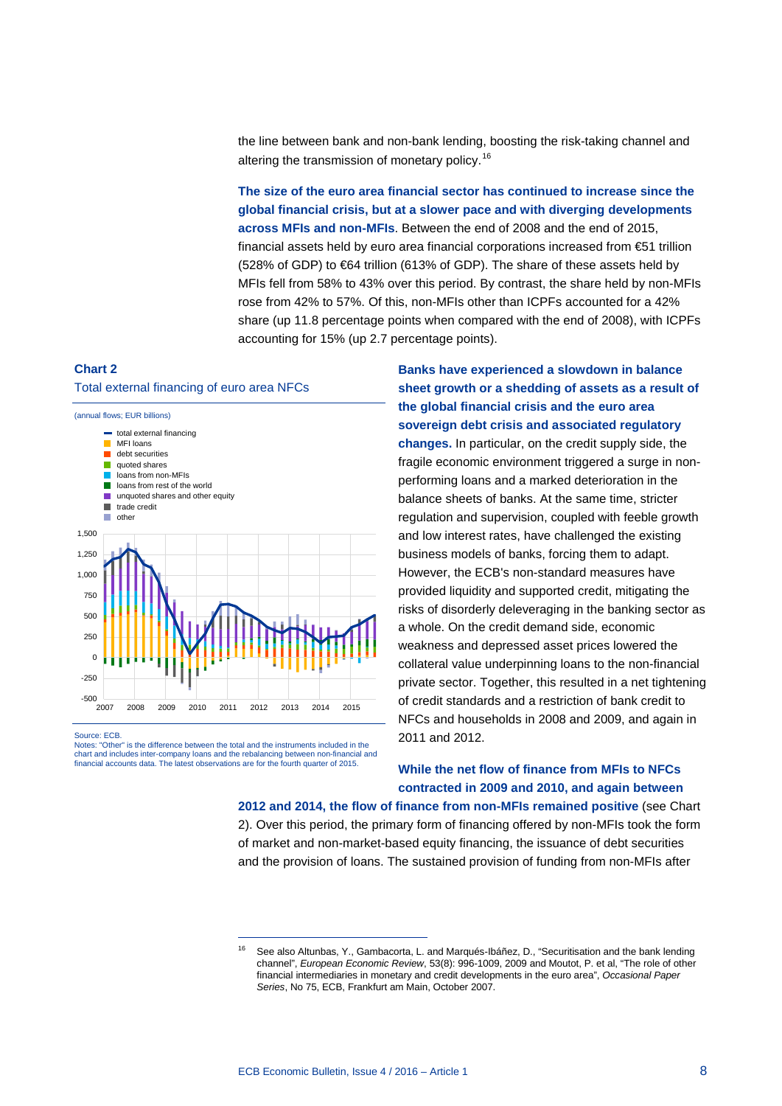the line between bank and non-bank lending, boosting the risk-taking channel and altering the transmission of monetary policy.<sup>[16](#page-7-0)</sup>

**The size of the euro area financial sector has continued to increase since the global financial crisis, but at a slower pace and with diverging developments across MFIs and non-MFIs**. Between the end of 2008 and the end of 2015, financial assets held by euro area financial corporations increased from €51 trillion (528% of GDP) to €64 trillion (613% of GDP). The share of these assets held by MFIs fell from 58% to 43% over this period. By contrast, the share held by non-MFIs rose from 42% to 57%. Of this, non-MFIs other than ICPFs accounted for a 42% share (up 11.8 percentage points when compared with the end of 2008), with ICPFs accounting for 15% (up 2.7 percentage points).

### **Chart 2**

#### Total external financing of euro area NFCs



<span id="page-7-0"></span>Source: ECB. Notes: "Other" is the difference between the total and the instruments included in the chart and includes inter-company loans and the rebalancing between non-financial and financial accounts data. The latest observations are for the fourth quarter of 2015.

-

**Banks have experienced a slowdown in balance sheet growth or a shedding of assets as a result of the global financial crisis and the euro area sovereign debt crisis and associated regulatory changes.** In particular, on the credit supply side, the fragile economic environment triggered a surge in nonperforming loans and a marked deterioration in the balance sheets of banks. At the same time, stricter regulation and supervision, coupled with feeble growth and low interest rates, have challenged the existing business models of banks, forcing them to adapt. However, the ECB's non-standard measures have provided liquidity and supported credit, mitigating the risks of disorderly deleveraging in the banking sector as a whole. On the credit demand side, economic weakness and depressed asset prices lowered the collateral value underpinning loans to the non-financial private sector. Together, this resulted in a net tightening of credit standards and a restriction of bank credit to NFCs and households in 2008 and 2009, and again in 2011 and 2012.

### **While the net flow of finance from MFIs to NFCs contracted in 2009 and 2010, and again between**

**2012 and 2014, the flow of finance from non-MFIs remained positive** (see Chart 2). Over this period, the primary form of financing offered by non-MFIs took the form of market and non-market-based equity financing, the issuance of debt securities and the provision of loans. The sustained provision of funding from non-MFIs after

<sup>&</sup>lt;sup>16</sup> See also Altunbas, Y., Gambacorta, L. and Marqués-Ibáñez, D., "Securitisation and the bank lending channel", *European Economic Review*, 53(8): 996-1009, 2009 and Moutot, P. et al, "The role of other financial intermediaries in monetary and credit developments in the euro area", *Occasional Paper Series*, No 75, ECB, Frankfurt am Main, October 2007.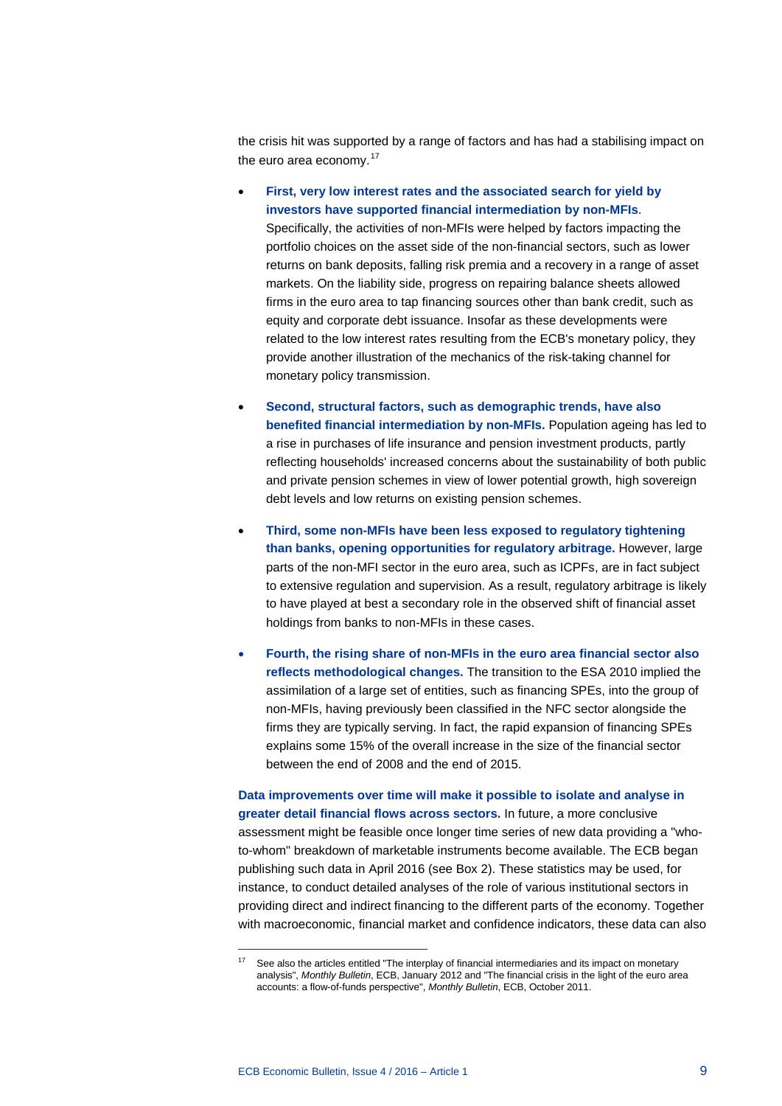the crisis hit was supported by a range of factors and has had a stabilising impact on the euro area economy.<sup>[17](#page-8-0)</sup>

- **First, very low interest rates and the associated search for yield by investors have supported financial intermediation by non-MFIs**. Specifically, the activities of non-MFIs were helped by factors impacting the portfolio choices on the asset side of the non-financial sectors, such as lower returns on bank deposits, falling risk premia and a recovery in a range of asset markets. On the liability side, progress on repairing balance sheets allowed firms in the euro area to tap financing sources other than bank credit, such as equity and corporate debt issuance. Insofar as these developments were related to the low interest rates resulting from the ECB's monetary policy, they provide another illustration of the mechanics of the risk-taking channel for monetary policy transmission.
- **Second, structural factors, such as demographic trends, have also benefited financial intermediation by non-MFIs.** Population ageing has led to a rise in purchases of life insurance and pension investment products, partly reflecting households' increased concerns about the sustainability of both public and private pension schemes in view of lower potential growth, high sovereign debt levels and low returns on existing pension schemes.
- **Third, some non-MFIs have been less exposed to regulatory tightening than banks, opening opportunities for regulatory arbitrage.** However, large parts of the non-MFI sector in the euro area, such as ICPFs, are in fact subject to extensive regulation and supervision. As a result, regulatory arbitrage is likely to have played at best a secondary role in the observed shift of financial asset holdings from banks to non-MFIs in these cases.
- **Fourth, the rising share of non-MFIs in the euro area financial sector also reflects methodological changes.** The transition to the ESA 2010 implied the assimilation of a large set of entities, such as financing SPEs, into the group of non-MFIs, having previously been classified in the NFC sector alongside the firms they are typically serving. In fact, the rapid expansion of financing SPEs explains some 15% of the overall increase in the size of the financial sector between the end of 2008 and the end of 2015.

**Data improvements over time will make it possible to isolate and analyse in greater detail financial flows across sectors.** In future, a more conclusive assessment might be feasible once longer time series of new data providing a "whoto-whom" breakdown of marketable instruments become available. The ECB began publishing such data in April 2016 (see Box 2). These statistics may be used, for instance, to conduct detailed analyses of the role of various institutional sectors in providing direct and indirect financing to the different parts of the economy. Together with macroeconomic, financial market and confidence indicators, these data can also

<span id="page-8-0"></span><sup>&</sup>lt;sup>17</sup> See also the articles entitled "The interplay of financial intermediaries and its impact on monetary analysis", *Monthly Bulletin*, ECB, January 2012 and "The financial crisis in the light of the euro area accounts: a flow-of-funds perspective", *Monthly Bulletin*, ECB, October 2011.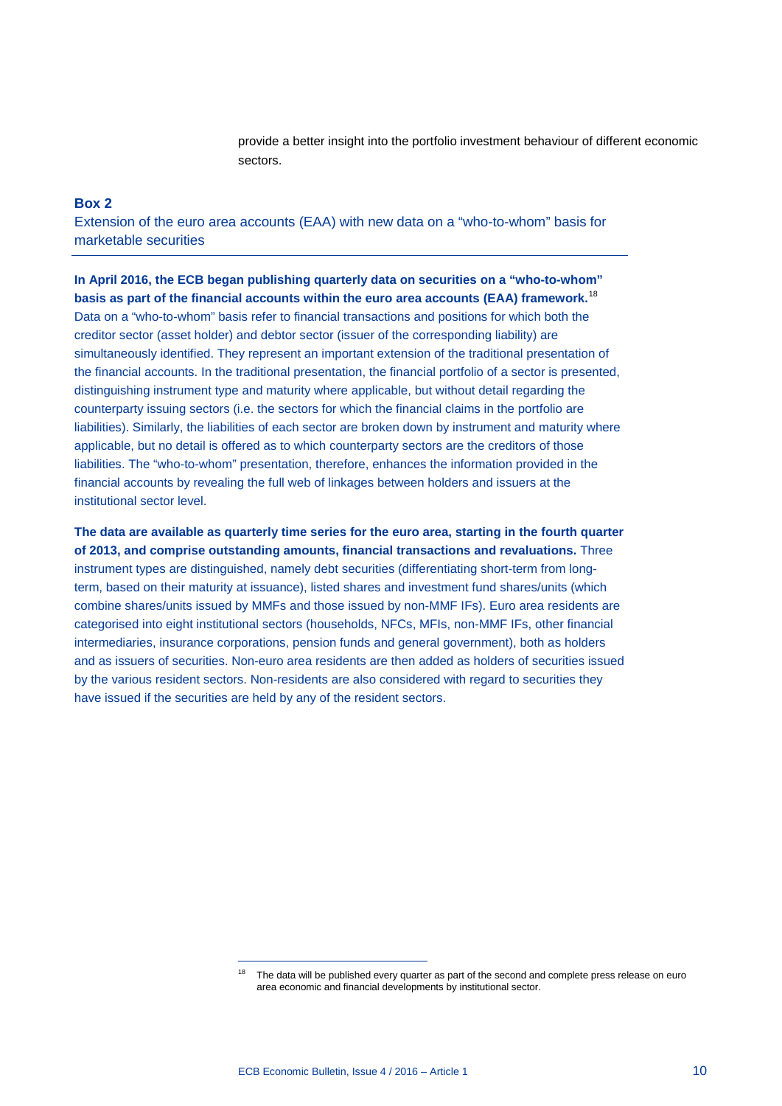provide a better insight into the portfolio investment behaviour of different economic sectors.

#### **Box 2**

Extension of the euro area accounts (EAA) with new data on a "who-to-whom" basis for marketable securities

**In April 2016, the ECB began publishing quarterly data on securities on a "who-to-whom" basis as part of the financial accounts within the euro area accounts (EAA) framework.**[18](#page-9-0) Data on a "who-to-whom" basis refer to financial transactions and positions for which both the creditor sector (asset holder) and debtor sector (issuer of the corresponding liability) are simultaneously identified. They represent an important extension of the traditional presentation of the financial accounts. In the traditional presentation, the financial portfolio of a sector is presented, distinguishing instrument type and maturity where applicable, but without detail regarding the counterparty issuing sectors (i.e. the sectors for which the financial claims in the portfolio are liabilities). Similarly, the liabilities of each sector are broken down by instrument and maturity where applicable, but no detail is offered as to which counterparty sectors are the creditors of those liabilities. The "who-to-whom" presentation, therefore, enhances the information provided in the financial accounts by revealing the full web of linkages between holders and issuers at the institutional sector level.

**The data are available as quarterly time series for the euro area, starting in the fourth quarter of 2013, and comprise outstanding amounts, financial transactions and revaluations.** Three instrument types are distinguished, namely debt securities (differentiating short-term from longterm, based on their maturity at issuance), listed shares and investment fund shares/units (which combine shares/units issued by MMFs and those issued by non-MMF IFs). Euro area residents are categorised into eight institutional sectors (households, NFCs, MFIs, non-MMF IFs, other financial intermediaries, insurance corporations, pension funds and general government), both as holders and as issuers of securities. Non-euro area residents are then added as holders of securities issued by the various resident sectors. Non-residents are also considered with regard to securities they have issued if the securities are held by any of the resident sectors.

<span id="page-9-0"></span>The data will be published every quarter as part of the second and complete press release on euro area economic and financial developments by institutional sector.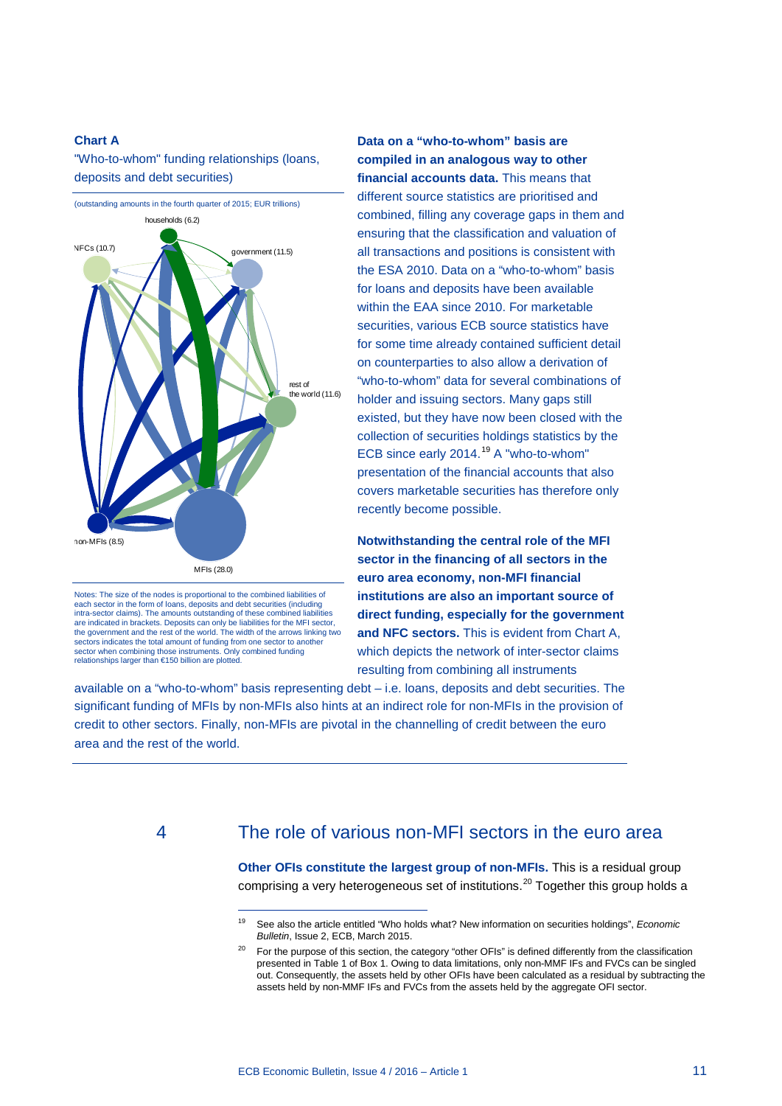#### **Chart A**

"Who-to-whom" funding relationships (loans, deposits and debt securities)



Notes: The size of the nodes is proportional to the combined liabilities of each sector in the form of loans, deposits and debt securities (includir intra-sector claims). The amounts outstanding of these combined liabilities are indicated in brackets. Deposits can only be liabilities for the MFI sector, the government and the rest of the world. The width of the arrows linking two sectors indicates the total amount of funding from one sector to another sector when combining those instruments. Only combined funding relationships larger than €150 billion are plotted.

-

### **Data on a "who-to-whom" basis are compiled in an analogous way to other financial accounts data.** This means that

different source statistics are prioritised and combined, filling any coverage gaps in them and ensuring that the classification and valuation of all transactions and positions is consistent with the ESA 2010. Data on a "who-to-whom" basis for loans and deposits have been available within the EAA since 2010. For marketable securities, various ECB source statistics have for some time already contained sufficient detail on counterparties to also allow a derivation of "who-to-whom" data for several combinations of holder and issuing sectors. Many gaps still existed, but they have now been closed with the collection of securities holdings statistics by the ECB since early 2014. [19](#page-10-0) A "who-to-whom" presentation of the financial accounts that also covers marketable securities has therefore only recently become possible.

**Notwithstanding the central role of the MFI sector in the financing of all sectors in the euro area economy, non-MFI financial institutions are also an important source of direct funding, especially for the government and NFC sectors.** This is evident from Chart A, which depicts the network of inter-sector claims resulting from combining all instruments

available on a "who-to-whom" basis representing debt – i.e. loans, deposits and debt securities. The significant funding of MFIs by non-MFIs also hints at an indirect role for non-MFIs in the provision of credit to other sectors. Finally, non-MFIs are pivotal in the channelling of credit between the euro area and the rest of the world.

### <span id="page-10-1"></span><span id="page-10-0"></span>4 The role of various non-MFI sectors in the euro area

**Other OFIs constitute the largest group of non-MFIs.** This is a residual group comprising a very heterogeneous set of institutions. [20](#page-10-1) Together this group holds a

<sup>19</sup> See also the article entitled "Who holds what? New information on securities holdings", *Economic Bulletin*, Issue 2, ECB, March 2015.

<sup>&</sup>lt;sup>20</sup> For the purpose of this section, the category "other OFIs" is defined differently from the classification presented in Table 1 of Box 1. Owing to data limitations, only non-MMF IFs and FVCs can be singled out. Consequently, the assets held by other OFIs have been calculated as a residual by subtracting the assets held by non-MMF IFs and FVCs from the assets held by the aggregate OFI sector.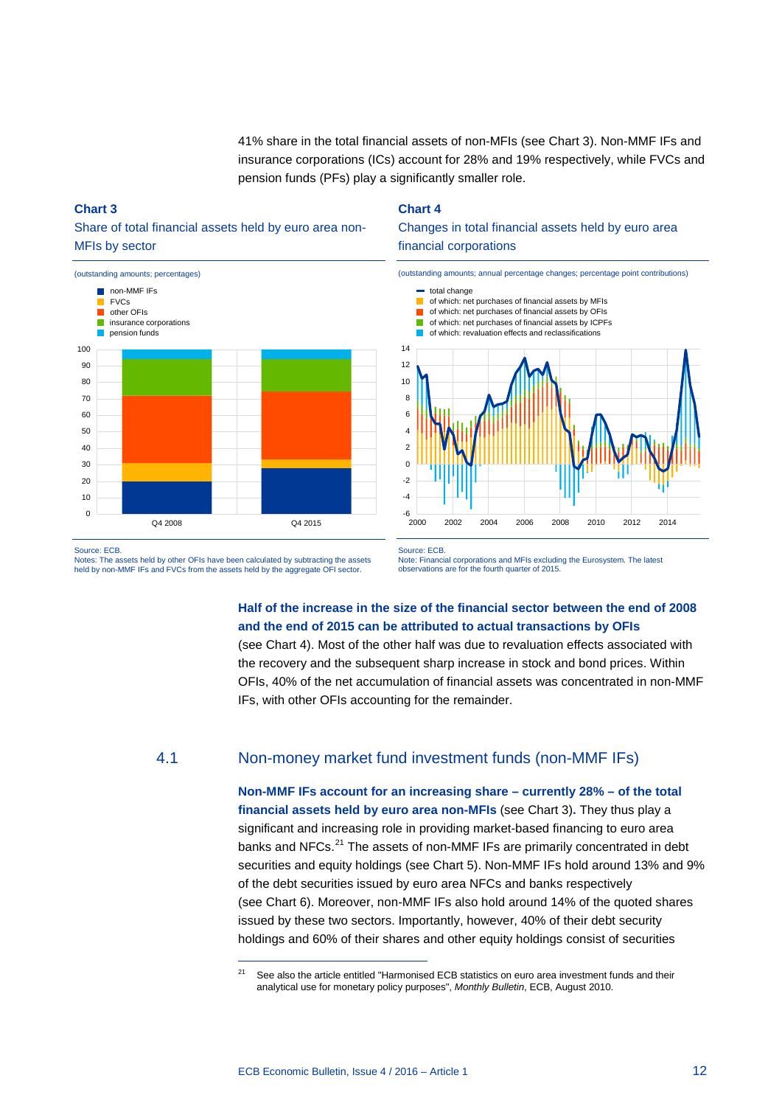41% share in the total financial assets of non-MFIs (see Chart 3). Non-MMF IFs and insurance corporations (ICs) account for 28% and 19% respectively, while FVCs and pension funds (PFs) play a significantly smaller role.

### **Chart 3**





### **Chart 4**





Source: ECB.

Notes: The assets held by other OFIs have been calculated by subtracting the assets held by non-MMF IFs and FVCs from the assets held by the aggregate OFI sector.

-

Source: ECB. Note: Financial corporations and MFIs excluding the Eurosystem. The latest observations are for the fourth quarter of 2015.

### **Half of the increase in the size of the financial sector between the end of 2008 and the end of 2015 can be attributed to actual transactions by OFIs**

(see Chart 4). Most of the other half was due to revaluation effects associated with the recovery and the subsequent sharp increase in stock and bond prices. Within OFIs, 40% of the net accumulation of financial assets was concentrated in non-MMF IFs, with other OFIs accounting for the remainder.

### 4.1 Non-money market fund investment funds (non-MMF IFs)

**Non-MMF IFs account for an increasing share – currently 28% – of the total financial assets held by euro area non-MFIs** (see Chart 3)**.** They thus play a significant and increasing role in providing market-based financing to euro area banks and NFCs.<sup>[21](#page-11-0)</sup> The assets of non-MMF IFs are primarily concentrated in debt securities and equity holdings (see Chart 5). Non-MMF IFs hold around 13% and 9% of the debt securities issued by euro area NFCs and banks respectively (see Chart 6). Moreover, non-MMF IFs also hold around 14% of the quoted shares issued by these two sectors. Importantly, however, 40% of their debt security holdings and 60% of their shares and other equity holdings consist of securities

<span id="page-11-0"></span><sup>21</sup> See also the article entitled "Harmonised ECB statistics on euro area investment funds and their analytical use for monetary policy purposes", *Monthly Bulletin*, ECB, August 2010.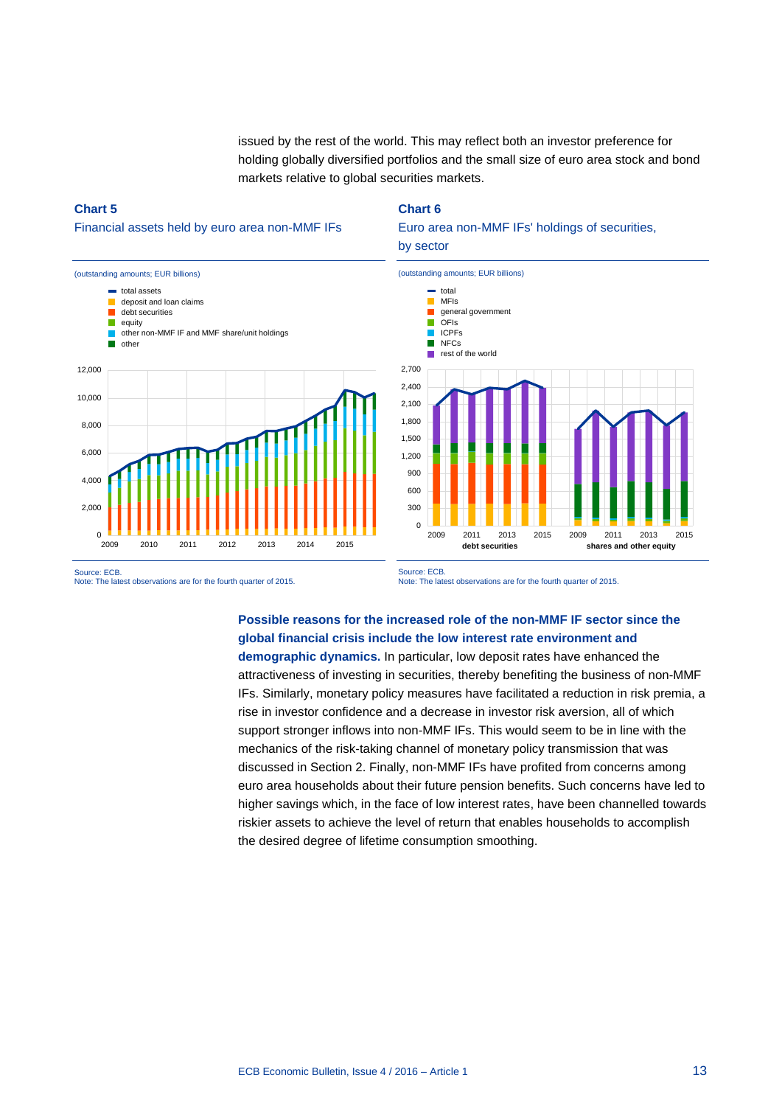issued by the rest of the world. This may reflect both an investor preference for holding globally diversified portfolios and the small size of euro area stock and bond markets relative to global securities markets.

### **Chart 5**

### Financial assets held by euro area non-MMF IFs



#### **Chart 6**

### Euro area non-MMF IFs' holdings of securities, by sector



Source: ECB.

Note: The latest observations are for the fourth quarter of 2015.

Source: ECB. Note: The latest observations are for the fourth quarter of 2015.

### **Possible reasons for the increased role of the non-MMF IF sector since the global financial crisis include the low interest rate environment and**

**demographic dynamics.** In particular, low deposit rates have enhanced the attractiveness of investing in securities, thereby benefiting the business of non-MMF IFs. Similarly, monetary policy measures have facilitated a reduction in risk premia, a rise in investor confidence and a decrease in investor risk aversion, all of which support stronger inflows into non-MMF IFs. This would seem to be in line with the mechanics of the risk-taking channel of monetary policy transmission that was discussed in Section 2. Finally, non-MMF IFs have profited from concerns among euro area households about their future pension benefits. Such concerns have led to higher savings which, in the face of low interest rates, have been channelled towards riskier assets to achieve the level of return that enables households to accomplish the desired degree of lifetime consumption smoothing.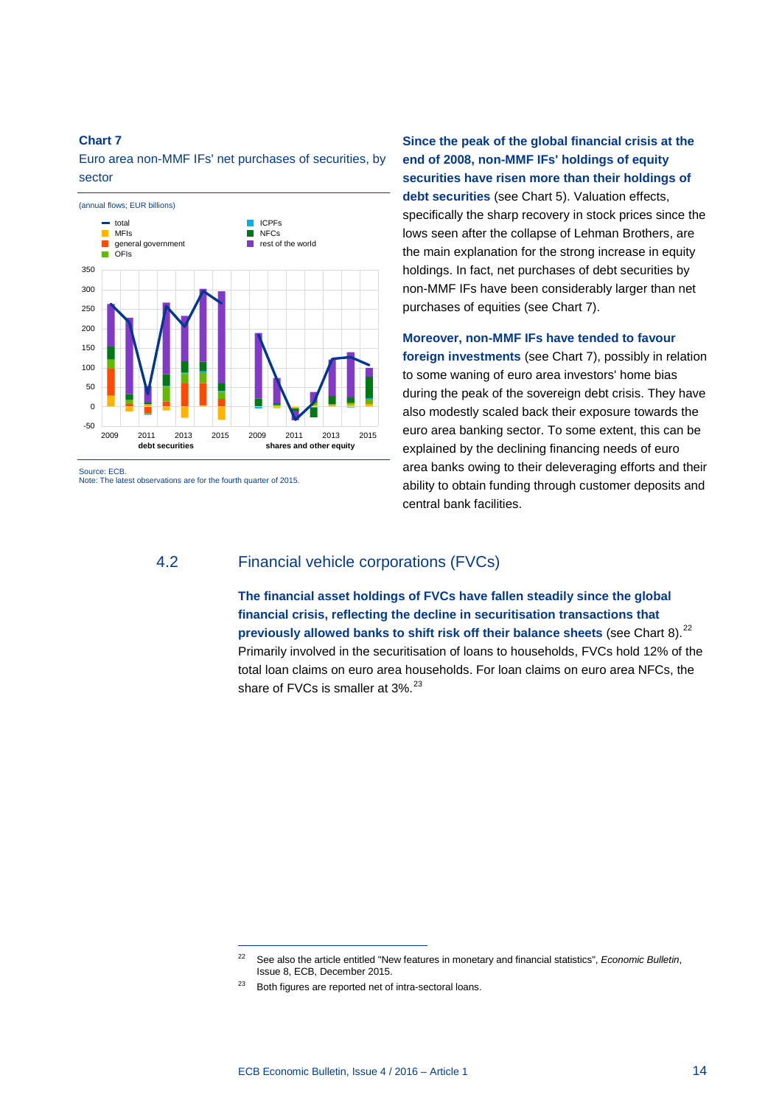Euro area non-MMF IFs' net purchases of securities, by sector



Note: The latest observations are for the fourth quarter of 2015.

**Since the peak of the global financial crisis at the end of 2008, non-MMF IFs' holdings of equity securities have risen more than their holdings of debt securities** (see Chart 5). Valuation effects, specifically the sharp recovery in stock prices since the lows seen after the collapse of Lehman Brothers, are the main explanation for the strong increase in equity holdings. In fact, net purchases of debt securities by non-MMF IFs have been considerably larger than net purchases of equities (see Chart 7).

**Moreover, non-MMF IFs have tended to favour** 

**foreign investments** (see Chart 7), possibly in relation to some waning of euro area investors' home bias during the peak of the sovereign debt crisis. They have also modestly scaled back their exposure towards the euro area banking sector. To some extent, this can be explained by the declining financing needs of euro area banks owing to their deleveraging efforts and their ability to obtain funding through customer deposits and central bank facilities.

### 4.2 Financial vehicle corporations (FVCs)

**The financial asset holdings of FVCs have fallen steadily since the global financial crisis, reflecting the decline in securitisation transactions that previously allowed banks to shift risk off their balance sheets** (see Chart 8). [22](#page-13-0) Primarily involved in the securitisation of loans to households, FVCs hold 12% of the total loan claims on euro area households. For loan claims on euro area NFCs, the share of FVCs is smaller at 3%.<sup>[23](#page-13-1)</sup>

<span id="page-13-0"></span><sup>22</sup> See also the article entitled "New features in monetary and financial statistics", *Economic Bulletin*, Issue 8, ECB, December 2015.

<span id="page-13-1"></span><sup>23</sup> Both figures are reported net of intra-sectoral loans.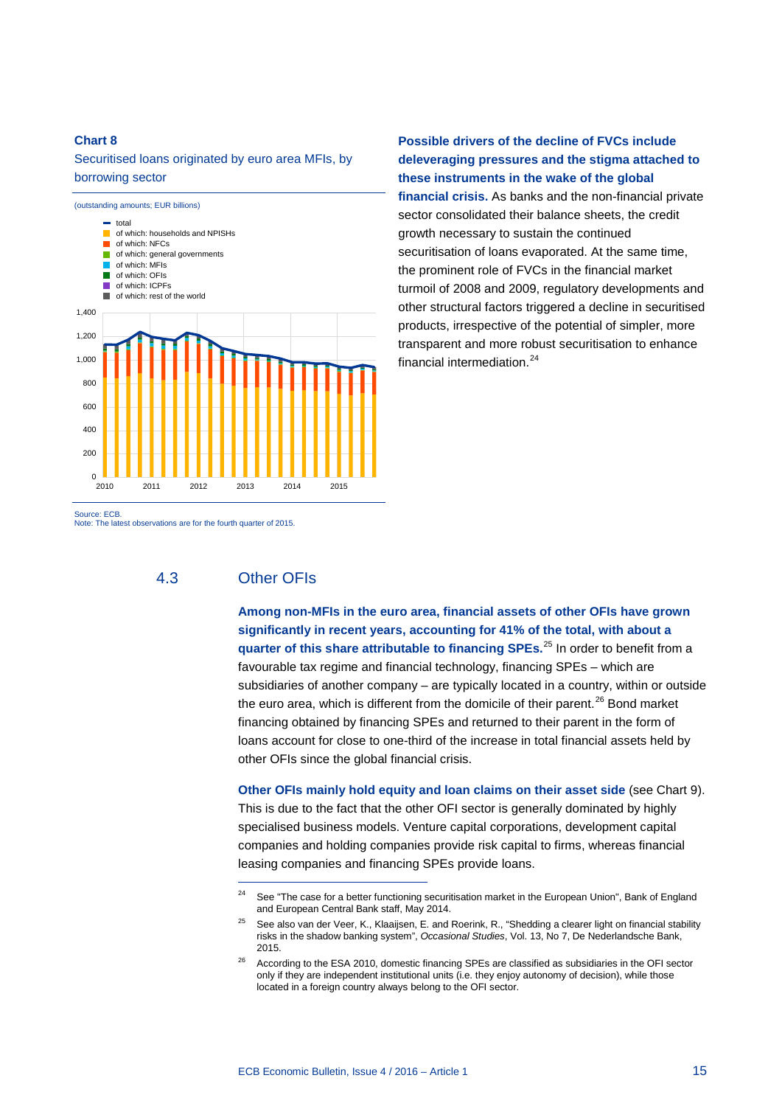### Securitised loans originated by euro area MFIs, by borrowing sector



**Possible drivers of the decline of FVCs include deleveraging pressures and the stigma attached to these instruments in the wake of the global** 

**financial crisis.** As banks and the non-financial private sector consolidated their balance sheets, the credit growth necessary to sustain the continued securitisation of loans evaporated. At the same time, the prominent role of FVCs in the financial market turmoil of 2008 and 2009, regulatory developments and other structural factors triggered a decline in securitised products, irrespective of the potential of simpler, more transparent and more robust securitisation to enhance financial intermediation. [24](#page-14-0)

Source: ECB.

Note: The latest observations are for the fourth quarter of 2015.

### 4.3 Other OFIs

-

**Among non-MFIs in the euro area, financial assets of other OFIs have grown significantly in recent years, accounting for 41% of the total, with about a quarter of this share attributable to financing SPEs.**[25](#page-14-1) In order to benefit from a favourable tax regime and financial technology, financing SPEs – which are subsidiaries of another company – are typically located in a country, within or outside the euro area, which is different from the domicile of their parent.<sup>[26](#page-14-2)</sup> Bond market financing obtained by financing SPEs and returned to their parent in the form of loans account for close to one-third of the increase in total financial assets held by other OFIs since the global financial crisis.

**Other OFIs mainly hold equity and loan claims on their asset side** (see Chart 9). This is due to the fact that the other OFI sector is generally dominated by highly specialised business models. Venture capital corporations, development capital companies and holding companies provide risk capital to firms, whereas financial leasing companies and financing SPEs provide loans.

<sup>&</sup>lt;sup>24</sup> See "The case for a better functioning securitisation market in the European Union", Bank of England and European Central Bank staff, May 2014.

<span id="page-14-1"></span><span id="page-14-0"></span><sup>25</sup> See also van der Veer, K., Klaaijsen, E. and Roerink, R., "Shedding a clearer light on financial stability risks in the shadow banking system", *Occasional Studies*, Vol. 13, No 7, De Nederlandsche Bank, 2015.

<span id="page-14-2"></span><sup>&</sup>lt;sup>26</sup> According to the ESA 2010, domestic financing SPEs are classified as subsidiaries in the OFI sector only if they are independent institutional units (i.e. they enjoy autonomy of decision), while those located in a foreign country always belong to the OFI sector.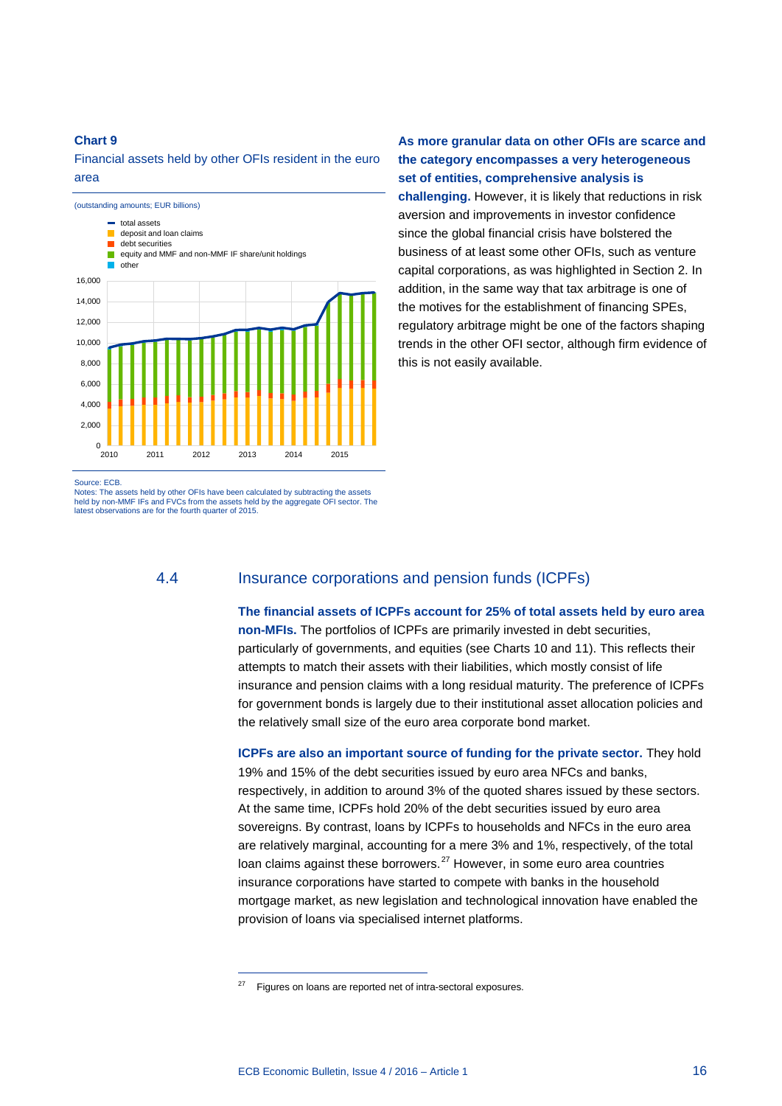Financial assets held by other OFIs resident in the euro area



**As more granular data on other OFIs are scarce and the category encompasses a very heterogeneous set of entities, comprehensive analysis is** 

**challenging.** However, it is likely that reductions in risk aversion and improvements in investor confidence since the global financial crisis have bolstered the business of at least some other OFIs, such as venture capital corporations, as was highlighted in Section 2. In addition, in the same way that tax arbitrage is one of the motives for the establishment of financing SPEs, regulatory arbitrage might be one of the factors shaping trends in the other OFI sector, although firm evidence of this is not easily available.

Source: ECB.

Notes: The assets held by other OFIs have been calculated by subtracting the assets held by non-MMF IFs and FVCs from the assets held by the aggregate OFI sector. The latest observations are for the fourth quarter of 2015.

<span id="page-15-0"></span>-

### 4.4 Insurance corporations and pension funds (ICPFs)

**The financial assets of ICPFs account for 25% of total assets held by euro area non-MFIs.** The portfolios of ICPFs are primarily invested in debt securities, particularly of governments, and equities (see Charts 10 and 11). This reflects their attempts to match their assets with their liabilities, which mostly consist of life insurance and pension claims with a long residual maturity. The preference of ICPFs for government bonds is largely due to their institutional asset allocation policies and the relatively small size of the euro area corporate bond market.

**ICPFs are also an important source of funding for the private sector.** They hold 19% and 15% of the debt securities issued by euro area NFCs and banks, respectively, in addition to around 3% of the quoted shares issued by these sectors. At the same time, ICPFs hold 20% of the debt securities issued by euro area sovereigns. By contrast, loans by ICPFs to households and NFCs in the euro area are relatively marginal, accounting for a mere 3% and 1%, respectively, of the total loan claims against these borrowers.<sup>[27](#page-15-0)</sup> However, in some euro area countries insurance corporations have started to compete with banks in the household mortgage market, as new legislation and technological innovation have enabled the provision of loans via specialised internet platforms.

Figures on loans are reported net of intra-sectoral exposures.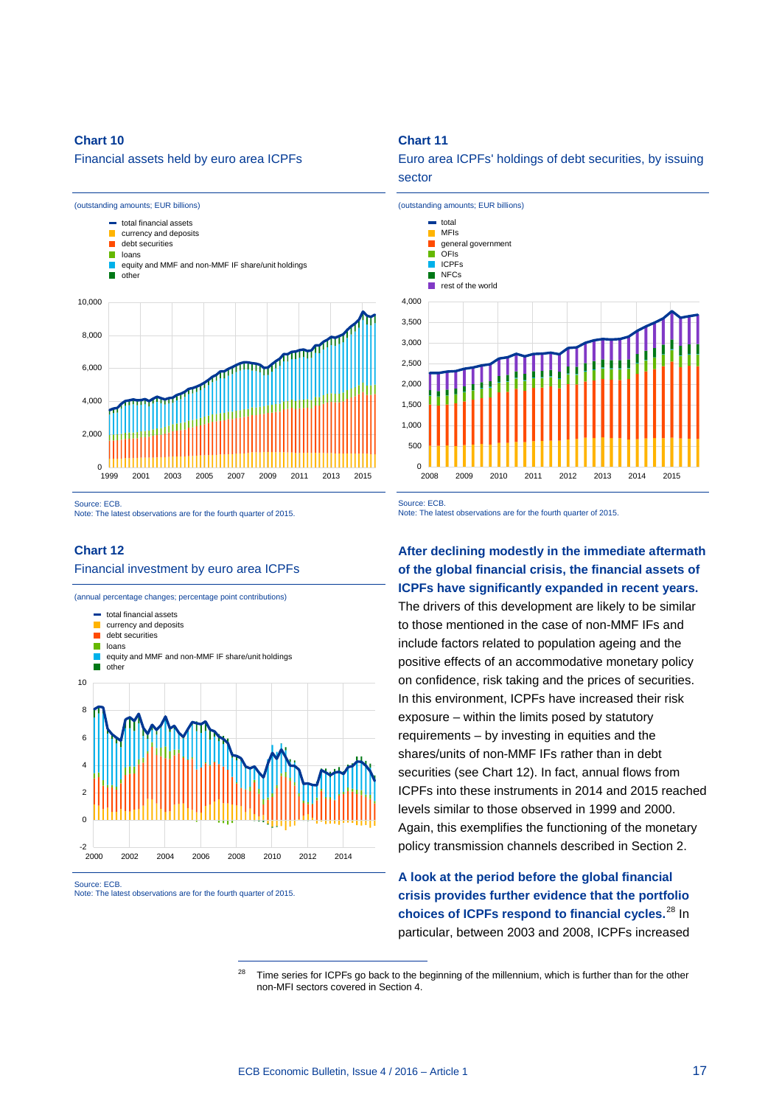Financial assets held by euro area ICPFs



Source: ECB.

Note: The latest observations are for the fourth quarter of 2015.

### **Chart 12** Financial investment by euro area ICPFs

(annual percentage changes; percentage point contributions)



-

#### <span id="page-16-0"></span>Source: ECB. Note: The latest observations are for the fourth quarter of 2015.

#### **Chart 11**





Source: ECB.

Note: The latest observations are for the fourth quarter of 2015.

### **After declining modestly in the immediate aftermath of the global financial crisis, the financial assets of ICPFs have significantly expanded in recent years.**

The drivers of this development are likely to be similar to those mentioned in the case of non-MMF IFs and include factors related to population ageing and the positive effects of an accommodative monetary policy on confidence, risk taking and the prices of securities. In this environment, ICPFs have increased their risk exposure – within the limits posed by statutory requirements – by investing in equities and the shares/units of non-MMF IFs rather than in debt securities (see Chart 12). In fact, annual flows from ICPFs into these instruments in 2014 and 2015 reached levels similar to those observed in 1999 and 2000. Again, this exemplifies the functioning of the monetary policy transmission channels described in Section 2.

**A look at the period before the global financial crisis provides further evidence that the portfolio choices of ICPFs respond to financial cycles.** [28](#page-16-0) In particular, between 2003 and 2008, ICPFs increased

<sup>28</sup> Time series for ICPFs go back to the beginning of the millennium, which is further than for the other non-MFI sectors covered in Section 4.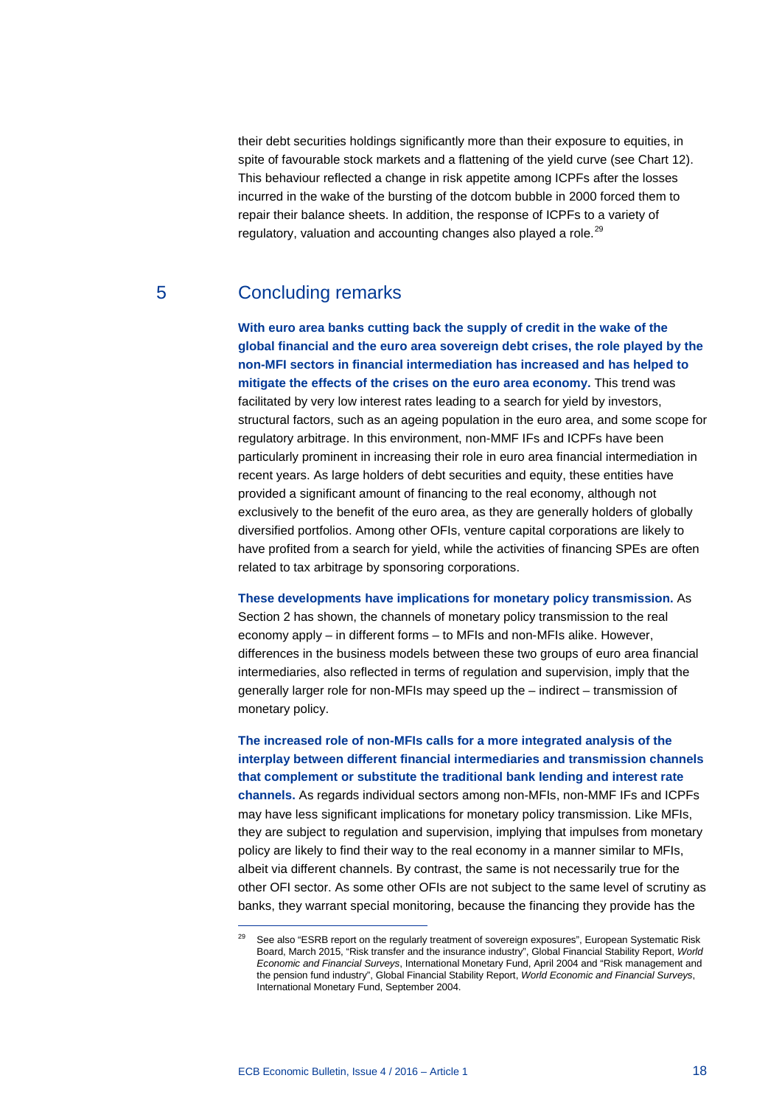their debt securities holdings significantly more than their exposure to equities, in spite of favourable stock markets and a flattening of the yield curve (see Chart 12). This behaviour reflected a change in risk appetite among ICPFs after the losses incurred in the wake of the bursting of the dotcom bubble in 2000 forced them to repair their balance sheets. In addition, the response of ICPFs to a variety of regulatory, valuation and accounting changes also played a role.<sup>[29](#page-17-0)</sup>

### 5 Concluding remarks

**With euro area banks cutting back the supply of credit in the wake of the global financial and the euro area sovereign debt crises, the role played by the non-MFI sectors in financial intermediation has increased and has helped to mitigate the effects of the crises on the euro area economy.** This trend was facilitated by very low interest rates leading to a search for yield by investors, structural factors, such as an ageing population in the euro area, and some scope for regulatory arbitrage. In this environment, non-MMF IFs and ICPFs have been particularly prominent in increasing their role in euro area financial intermediation in recent years. As large holders of debt securities and equity, these entities have provided a significant amount of financing to the real economy, although not exclusively to the benefit of the euro area, as they are generally holders of globally diversified portfolios. Among other OFIs, venture capital corporations are likely to have profited from a search for yield, while the activities of financing SPEs are often related to tax arbitrage by sponsoring corporations.

**These developments have implications for monetary policy transmission.** As Section 2 has shown, the channels of monetary policy transmission to the real economy apply – in different forms – to MFIs and non-MFIs alike. However, differences in the business models between these two groups of euro area financial intermediaries, also reflected in terms of regulation and supervision, imply that the generally larger role for non-MFIs may speed up the – indirect – transmission of monetary policy.

**The increased role of non-MFIs calls for a more integrated analysis of the interplay between different financial intermediaries and transmission channels that complement or substitute the traditional bank lending and interest rate channels.** As regards individual sectors among non-MFIs, non-MMF IFs and ICPFs may have less significant implications for monetary policy transmission. Like MFIs, they are subject to regulation and supervision, implying that impulses from monetary policy are likely to find their way to the real economy in a manner similar to MFIs, albeit via different channels. By contrast, the same is not necessarily true for the other OFI sector. As some other OFIs are not subject to the same level of scrutiny as banks, they warrant special monitoring, because the financing they provide has the

<span id="page-17-0"></span>See also "ESRB report on the regularly treatment of sovereign exposures", European Systematic Risk Board, March 2015, "Risk transfer and the insurance industry", Global Financial Stability Report, *World Economic and Financial Surveys*, International Monetary Fund, April 2004 and "Risk management and the pension fund industry", Global Financial Stability Report, *World Economic and Financial Surveys*, International Monetary Fund, September 2004.